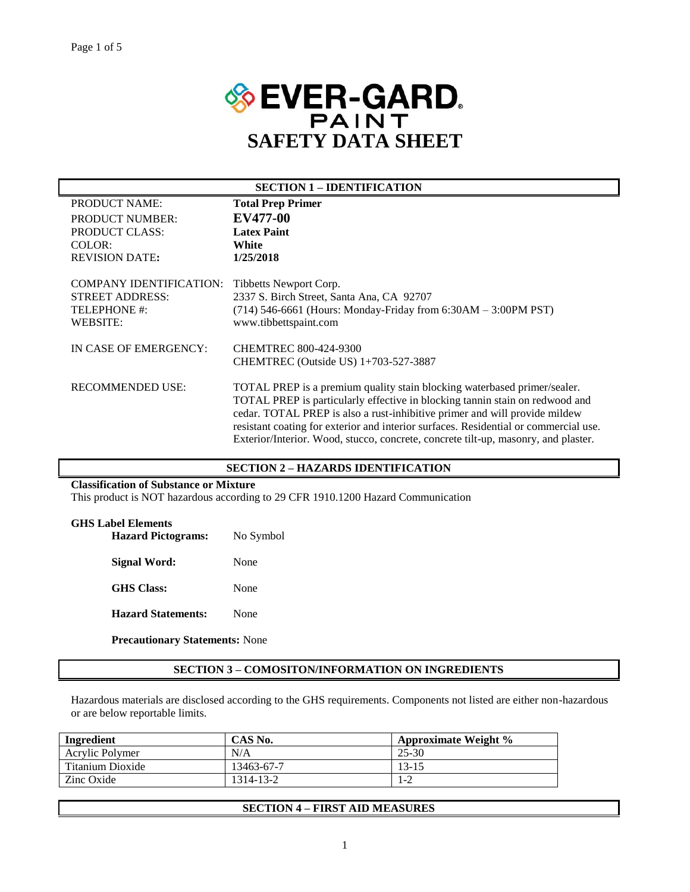

| TOTAL PREP is particularly effective in blocking tannin stain on redwood and                                                                           |
|--------------------------------------------------------------------------------------------------------------------------------------------------------|
| resistant coating for exterior and interior surfaces. Residential or commercial use.                                                                   |
| Exterior/Interior. Wood, stucco, concrete, concrete tilt-up, masonry, and plaster.                                                                     |
| TOTAL PREP is a premium quality stain blocking waterbased primer/sealer.<br>cedar. TOTAL PREP is also a rust-inhibitive primer and will provide mildew |

## **SECTION 2 – HAZARDS IDENTIFICATION**

## **Classification of Substance or Mixture**

This product is NOT hazardous according to 29 CFR 1910.1200 Hazard Communication

#### **GHS Label Elements**

| <b>Hazard Pictograms:</b> | No Symbol |  |  |
|---------------------------|-----------|--|--|
| Signal Word:              | None      |  |  |
| <b>GHS</b> Class:         | None      |  |  |
| <b>Hazard Statements:</b> | None      |  |  |

**Precautionary Statements:** None

## **SECTION 3 – COMOSITON/INFORMATION ON INGREDIENTS**

Hazardous materials are disclosed according to the GHS requirements. Components not listed are either non-hazardous or are below reportable limits.

| Ingredient       | CAS No.    | <b>Approximate Weight %</b> |  |
|------------------|------------|-----------------------------|--|
| Acrylic Polymer  | N/A        | 25-30                       |  |
| Titanium Dioxide | 13463-67-7 | 13-15                       |  |
| Zinc Oxide       | 1314-13-2  | 1-2                         |  |

## **SECTION 4 – FIRST AID MEASURES**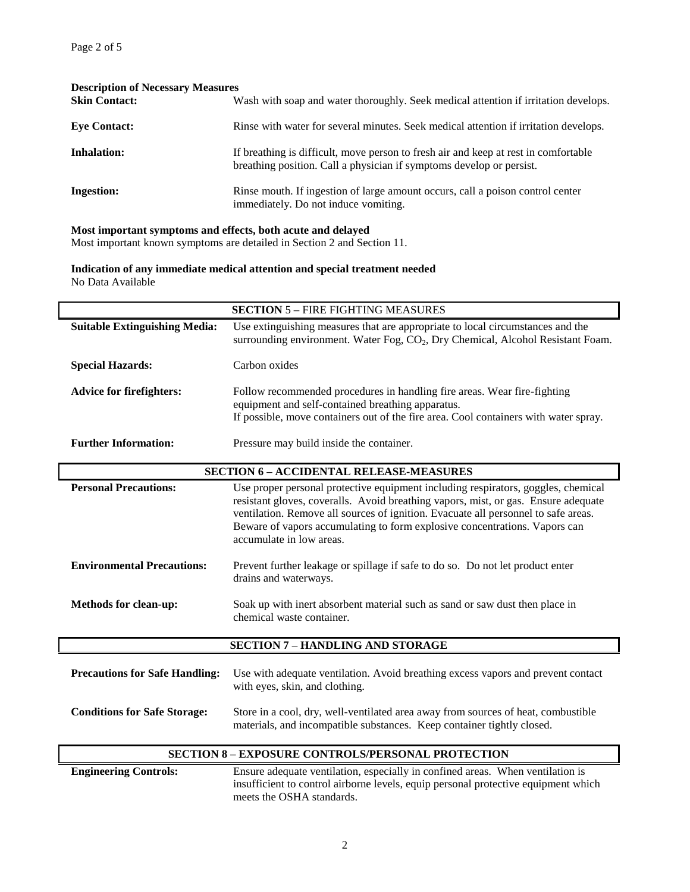| <b>Description of Necessary Measures</b> |                                                                                                                                                             |  |  |  |  |  |
|------------------------------------------|-------------------------------------------------------------------------------------------------------------------------------------------------------------|--|--|--|--|--|
| <b>Skin Contact:</b>                     | Wash with soap and water thoroughly. Seek medical attention if irritation develops.                                                                         |  |  |  |  |  |
| <b>Eye Contact:</b>                      | Rinse with water for several minutes. Seek medical attention if irritation develops.                                                                        |  |  |  |  |  |
| <b>Inhalation:</b>                       | If breathing is difficult, move person to fresh air and keep at rest in comfortable<br>breathing position. Call a physician if symptoms develop or persist. |  |  |  |  |  |
| <b>Ingestion:</b>                        | Rinse mouth. If ingestion of large amount occurs, call a poison control center<br>immediately. Do not induce vomiting.                                      |  |  |  |  |  |

## **Most important symptoms and effects, both acute and delayed**

Most important known symptoms are detailed in Section 2 and Section 11.

**Indication of any immediate medical attention and special treatment needed** No Data Available

| <b>SECTION 5 - FIRE FIGHTING MEASURES</b> |                                                                                                                                                                                                                                                                                                                                                                         |  |  |  |
|-------------------------------------------|-------------------------------------------------------------------------------------------------------------------------------------------------------------------------------------------------------------------------------------------------------------------------------------------------------------------------------------------------------------------------|--|--|--|
| <b>Suitable Extinguishing Media:</b>      | Use extinguishing measures that are appropriate to local circumstances and the<br>surrounding environment. Water Fog, CO <sub>2</sub> , Dry Chemical, Alcohol Resistant Foam.                                                                                                                                                                                           |  |  |  |
| <b>Special Hazards:</b>                   | Carbon oxides                                                                                                                                                                                                                                                                                                                                                           |  |  |  |
| <b>Advice for firefighters:</b>           | Follow recommended procedures in handling fire areas. Wear fire-fighting<br>equipment and self-contained breathing apparatus.<br>If possible, move containers out of the fire area. Cool containers with water spray.                                                                                                                                                   |  |  |  |
| <b>Further Information:</b>               | Pressure may build inside the container.                                                                                                                                                                                                                                                                                                                                |  |  |  |
|                                           | <b>SECTION 6 - ACCIDENTAL RELEASE-MEASURES</b>                                                                                                                                                                                                                                                                                                                          |  |  |  |
| <b>Personal Precautions:</b>              | Use proper personal protective equipment including respirators, goggles, chemical<br>resistant gloves, coveralls. Avoid breathing vapors, mist, or gas. Ensure adequate<br>ventilation. Remove all sources of ignition. Evacuate all personnel to safe areas.<br>Beware of vapors accumulating to form explosive concentrations. Vapors can<br>accumulate in low areas. |  |  |  |
| <b>Environmental Precautions:</b>         | Prevent further leakage or spillage if safe to do so. Do not let product enter<br>drains and waterways.                                                                                                                                                                                                                                                                 |  |  |  |
| <b>Methods for clean-up:</b>              | Soak up with inert absorbent material such as sand or saw dust then place in<br>chemical waste container.                                                                                                                                                                                                                                                               |  |  |  |
|                                           | <b>SECTION 7 - HANDLING AND STORAGE</b>                                                                                                                                                                                                                                                                                                                                 |  |  |  |
| <b>Precautions for Safe Handling:</b>     | Use with adequate ventilation. Avoid breathing excess vapors and prevent contact<br>with eyes, skin, and clothing.                                                                                                                                                                                                                                                      |  |  |  |
| <b>Conditions for Safe Storage:</b>       | Store in a cool, dry, well-ventilated area away from sources of heat, combustible<br>materials, and incompatible substances. Keep container tightly closed.                                                                                                                                                                                                             |  |  |  |
|                                           | <b>SECTION 8 - EXPOSURE CONTROLS/PERSONAL PROTECTION</b>                                                                                                                                                                                                                                                                                                                |  |  |  |
| <b>Engineering Controls:</b>              | Ensure adequate ventilation, especially in confined areas. When ventilation is<br>insufficient to control airborne levels, equip personal protective equipment which                                                                                                                                                                                                    |  |  |  |

meets the OSHA standards.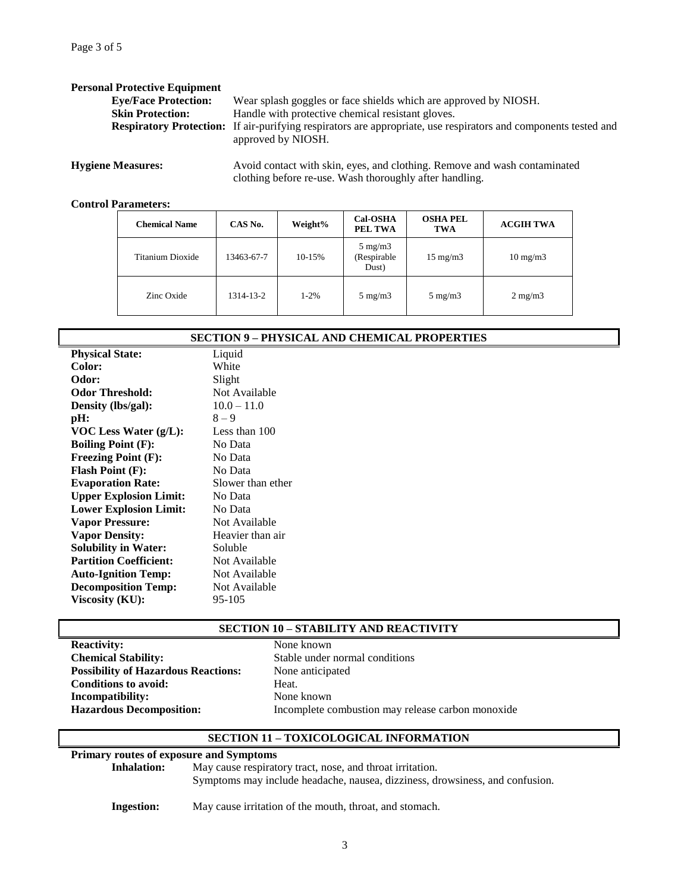| <b>Personal Protective Equipment</b> |                                                                                                                                              |
|--------------------------------------|----------------------------------------------------------------------------------------------------------------------------------------------|
| <b>Eye/Face Protection:</b>          | Wear splash goggles or face shields which are approved by NIOSH.                                                                             |
| <b>Skin Protection:</b>              | Handle with protective chemical resistant gloves.                                                                                            |
|                                      | <b>Respiratory Protection:</b> If air-purifying respirators are appropriate, use respirators and components tested and<br>approved by NIOSH. |
| <b>Hygiene Measures:</b>             | Avoid contact with skin, eyes, and clothing. Remove and wash contaminated                                                                    |

clothing before re-use. Wash thoroughly after handling.

#### **Control Parameters:**

| <b>Chemical Name</b> | CAS No.    | Weight% | <b>Cal-OSHA</b><br>PEL TWA               | <b>OSHA PEL</b><br>TWA | <b>ACGIH TWA</b>  |
|----------------------|------------|---------|------------------------------------------|------------------------|-------------------|
| Titanium Dioxide     | 13463-67-7 | 10-15%  | $5 \text{ mg/m}$<br>(Respirable<br>Dust) | $15 \text{ mg/m}$      | $10 \text{ mg/m}$ |
| Zinc Oxide           | 1314-13-2  | 1-2%    | $5 \text{ mg/m}$                         | $5 \text{ mg/m}$       | $2 \text{ mg/m}$  |

| <b>SECTION 9 - PHYSICAL AND CHEMICAL PROPERTIES</b> |                   |  |  |  |  |
|-----------------------------------------------------|-------------------|--|--|--|--|
| <b>Physical State:</b>                              | Liquid            |  |  |  |  |
| <b>Color:</b>                                       | White             |  |  |  |  |
| Odor:                                               | Slight            |  |  |  |  |
| <b>Odor Threshold:</b>                              | Not Available     |  |  |  |  |
| Density (lbs/gal):                                  | $10.0 - 11.0$     |  |  |  |  |
| pH:                                                 | $8 - 9$           |  |  |  |  |
| VOC Less Water $(g/L)$ :                            | Less than 100     |  |  |  |  |
| <b>Boiling Point (F):</b>                           | No Data           |  |  |  |  |
| <b>Freezing Point (F):</b>                          | No Data           |  |  |  |  |
| <b>Flash Point (F):</b>                             | No Data           |  |  |  |  |
| <b>Evaporation Rate:</b>                            | Slower than ether |  |  |  |  |
| <b>Upper Explosion Limit:</b>                       | No Data           |  |  |  |  |
| <b>Lower Explosion Limit:</b>                       | No Data           |  |  |  |  |
| <b>Vapor Pressure:</b>                              | Not Available     |  |  |  |  |
| <b>Vapor Density:</b>                               | Heavier than air  |  |  |  |  |
| <b>Solubility in Water:</b>                         | Soluble           |  |  |  |  |
| <b>Partition Coefficient:</b>                       | Not Available     |  |  |  |  |
| <b>Auto-Ignition Temp:</b>                          | Not Available     |  |  |  |  |
| <b>Decomposition Temp:</b>                          | Not Available     |  |  |  |  |
| Viscosity (KU):                                     | 95-105            |  |  |  |  |

### **SECTION 10 – STABILITY AND REACTIVITY**

| <b>Reactivity:</b>                         | None  |
|--------------------------------------------|-------|
| <b>Chemical Stability:</b>                 | Stabl |
| <b>Possibility of Hazardous Reactions:</b> | None  |
| <b>Conditions to avoid:</b>                | Heat. |
| <b>Incompatibility:</b>                    | None  |
| <b>Hazardous Decomposition:</b>            | Incor |

**Reactivity:** None known Stable under normal conditions **Possibility of Hazardous Reactions:** None anticipated **None known Hazardous Decomposition:** Incomplete combustion may release carbon monoxide

## **SECTION 11 – TOXICOLOGICAL INFORMATION**

## **Primary routes of exposure and Symptoms**

**Inhalation:** May cause respiratory tract, nose, and throat irritation.

Symptoms may include headache, nausea, dizziness, drowsiness, and confusion.

**Ingestion:** May cause irritation of the mouth, throat, and stomach.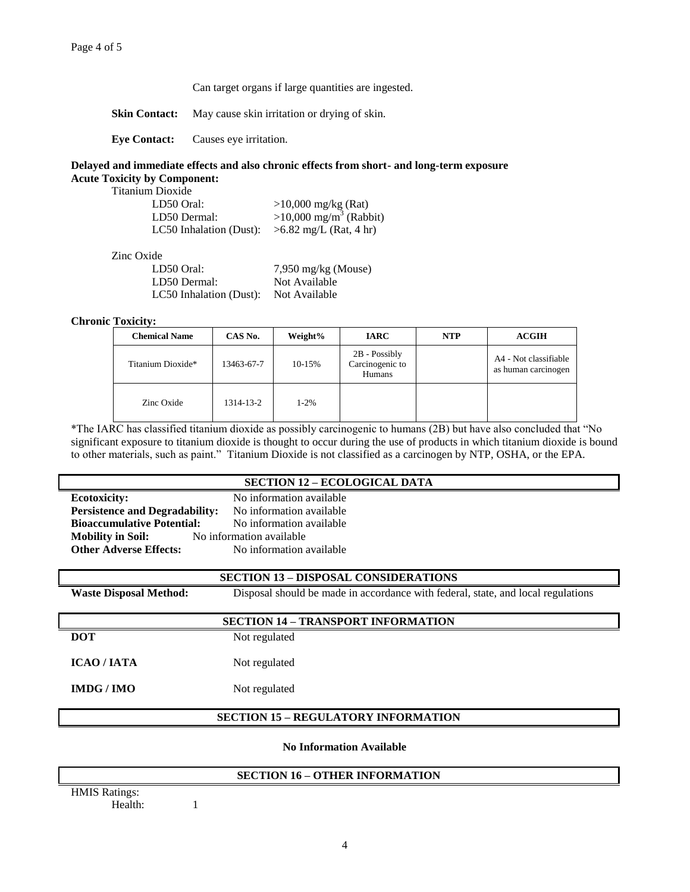#### Can target organs if large quantities are ingested.

**Skin Contact:** May cause skin irritation or drying of skin.

**Eye Contact:** Causes eye irritation.

## **Delayed and immediate effects and also chronic effects from short- and long-term exposure Acute Toxicity by Component:**

Titanium Dioxide

| $>10,000$ mg/kg (Rat)                |
|--------------------------------------|
| $>10,000$ mg/m <sup>3</sup> (Rabbit) |
| $>6.82$ mg/L (Rat, 4 hr)             |
|                                      |

Zinc Oxide

| LD50 Oral:              | $7,950$ mg/kg (Mouse) |
|-------------------------|-----------------------|
| LD50 Dermal:            | Not Available         |
| LC50 Inhalation (Dust): | Not Available         |

**Chronic Toxicity:**

| <b>Chemical Name</b> | CAS No.    | Weight% | <b>IARC</b>                                | <b>NTP</b> | <b>ACGIH</b>                                 |
|----------------------|------------|---------|--------------------------------------------|------------|----------------------------------------------|
| Titanium Dioxide*    | 13463-67-7 | 10-15%  | 2B - Possibly<br>Carcinogenic to<br>Humans |            | A4 - Not classifiable<br>as human carcinogen |
| Zinc Oxide           | 1314-13-2  | $1-2%$  |                                            |            |                                              |

\*The IARC has classified titanium dioxide as possibly carcinogenic to humans (2B) but have also concluded that "No significant exposure to titanium dioxide is thought to occur during the use of products in which titanium dioxide is bound to other materials, such as paint." Titanium Dioxide is not classified as a carcinogen by NTP, OSHA, or the EPA.

#### **SECTION 12 – ECOLOGICAL DATA**

**Ecotoxicity:** No information available **Persistence and Degradability:** No information available **Bioaccumulative Potential:** No information available **Mobility in Soil:** No information available **Other Adverse Effects:** No information available

## **SECTION 13 – DISPOSAL CONSIDERATIONS**

**Waste Disposal Method:** Disposal should be made in accordance with federal, state, and local regulations

# **SECTION 14 – TRANSPORT INFORMATION**

**DOT** Not regulated

**ICAO / IATA** Not regulated

**IMDG / IMO** Not regulated

## **SECTION 15 – REGULATORY INFORMATION**

**No Information Available**

#### **SECTION 16 – OTHER INFORMATION**

HMIS Ratings: Health: 1